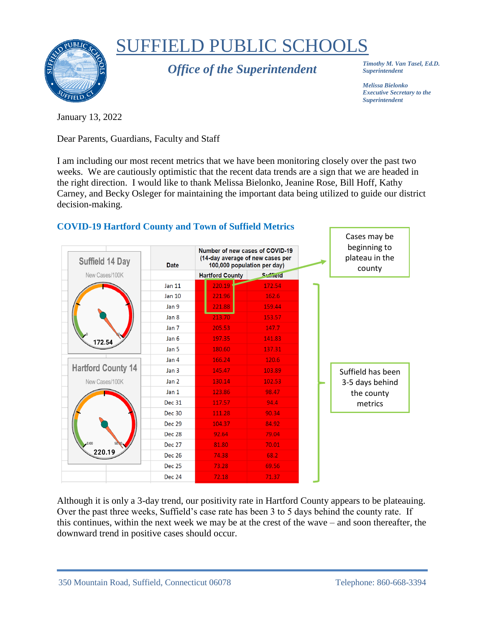

## SUFFIELD PUBLIC SCHOOLS

*Office of the Superintendent*

*Timothy M. Van Tasel, Ed.D. Superintendent*

*Melissa Bielonko Executive Secretary to the Superintendent*

January 13, 2022

Dear Parents, Guardians, Faculty and Staff

I am including our most recent metrics that we have been monitoring closely over the past two weeks. We are cautiously optimistic that the recent data trends are a sign that we are headed in the right direction. I would like to thank Melissa Bielonko, Jeanine Rose, Bill Hoff, Kathy Carney, and Becky Osleger for maintaining the important data being utilized to guide our district decision-making.



Although it is only a 3-day trend, our positivity rate in Hartford County appears to be plateauing. Over the past three weeks, Suffield's case rate has been 3 to 5 days behind the county rate. If this continues, within the next week we may be at the crest of the wave – and soon thereafter, the downward trend in positive cases should occur.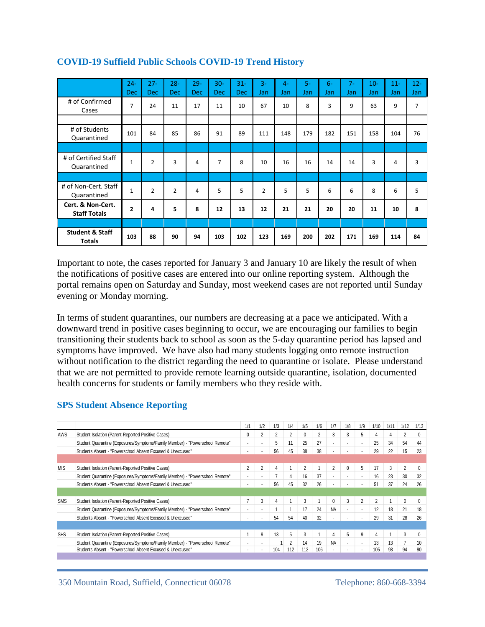|                                             | $24 -$<br><b>Dec</b> | $27 -$<br><b>Dec</b> | $28 -$<br><b>Dec</b> | $29 -$<br><b>Dec</b> | $30 -$<br><b>Dec</b> | $31 -$<br><b>Dec</b> | $3-$<br>Jan    | $4-$<br>Jan | $5-$<br>Jan | $6-$<br>Jan | $7 -$<br>Jan | $10 -$<br>Jan | $11 -$<br>Jan | $12 -$<br>Jan |
|---------------------------------------------|----------------------|----------------------|----------------------|----------------------|----------------------|----------------------|----------------|-------------|-------------|-------------|--------------|---------------|---------------|---------------|
| # of Confirmed<br>Cases                     | $\overline{7}$       | 24                   | 11                   | 17                   | 11                   | 10                   | 67             | 10          | 8           | 3           | 9            | 63            | 9             | 7             |
|                                             |                      |                      |                      |                      |                      |                      |                |             |             |             |              |               |               |               |
| # of Students<br>Quarantined                | 101                  | 84                   | 85                   | 86                   | 91                   | 89                   | 111            | 148         | 179         | 182         | 151          | 158           | 104           | 76            |
|                                             |                      |                      |                      |                      |                      |                      |                |             |             |             |              |               |               |               |
| # of Certified Staff<br>Quarantined         | $\mathbf{1}$         | 2                    | 3                    | 4                    | 7                    | 8                    | 10             | 16          | 16          | 14          | 14           | 3             | 4             | 3             |
|                                             |                      |                      |                      |                      |                      |                      |                |             |             |             |              |               |               |               |
| # of Non-Cert. Staff<br>Quarantined         | $\mathbf{1}$         | $\overline{2}$       | $\overline{2}$       | 4                    | 5                    | 5                    | $\overline{2}$ | 5           | 5           | 6           | 6            | 8             | 6             | 5             |
| Cert. & Non-Cert.<br><b>Staff Totals</b>    | $\overline{2}$       | 4                    | 5.                   | 8                    | 12                   | 13                   | 12             | 21          | 21          | 20          | 20           | 11            | 10            | 8             |
|                                             |                      |                      |                      |                      |                      |                      |                |             |             |             |              |               |               |               |
| <b>Student &amp; Staff</b><br><b>Totals</b> | 103                  | 88                   | 90                   | 94                   | 103                  | 102                  | 123            | 169         | 200         | 202         | 171          | 169           | 114           | 84            |

## **COVID-19 Suffield Public Schools COVID-19 Trend History**

Important to note, the cases reported for January 3 and January 10 are likely the result of when the notifications of positive cases are entered into our online reporting system. Although the portal remains open on Saturday and Sunday, most weekend cases are not reported until Sunday evening or Monday morning.

In terms of student quarantines, our numbers are decreasing at a pace we anticipated. With a downward trend in positive cases beginning to occur, we are encouraging our families to begin transitioning their students back to school as soon as the 5-day quarantine period has lapsed and symptoms have improved. We have also had many students logging onto remote instruction without notification to the district regarding the need to quarantine or isolate. Please understand that we are not permitted to provide remote learning outside quarantine, isolation, documented health concerns for students or family members who they reside with.

## **SPS Student Absence Reporting**

|            |                                                                              | 1/1            | 1/2                      | 1/3            | 1/4 | 1/5            | 1/6 | 1/7       | 1/8            | 1/9                      | 1/10           | 1/11 | 1/12           | 1/13            |
|------------|------------------------------------------------------------------------------|----------------|--------------------------|----------------|-----|----------------|-----|-----------|----------------|--------------------------|----------------|------|----------------|-----------------|
| AWS        | Student Isolation (Parent-Reported Positive Cases)                           |                | $\overline{c}$           | 2              |     | 0              | 2   | 3         | 3              | 5                        |                |      | 2              |                 |
|            | Student Quarantine (Exposures/Symptoms/Family Member) - "Powerschool Remote" |                | $\overline{\phantom{a}}$ | 5              | 11  | 25             | 27  |           |                |                          | 25             | 34   | 54             | 44              |
|            | Students Absent - "Powerschool Absent Excused & Unexcused"                   |                |                          | 56             | 45  | 38             | 38  |           |                |                          | 29             | 22   | 15             | 23              |
|            |                                                                              |                |                          |                |     |                |     |           |                |                          |                |      |                |                 |
| <b>MIS</b> | Student Isolation (Parent-Reported Positive Cases)                           | $\overline{c}$ | $\overline{2}$           | 4              |     | $\overline{2}$ |     | 2         | $\Omega$       | 5                        | 17             | 3    | $\overline{2}$ |                 |
|            | Student Quarantine (Exposures/Symptoms/Family Member) - "Powerschool Remote" |                | ٠                        | $\overline{7}$ | 4   | 16             | 37  | ۰.        |                |                          | 16             | 23   | 30             | 32              |
|            | Students Absent - "Powerschool Absent Excused & Unexcused"                   |                |                          | 56             | 45  | 32             | 26  |           |                |                          | 51             | 37   | 24             | 26              |
|            |                                                                              |                |                          |                |     |                |     |           |                |                          |                |      |                |                 |
| <b>SMS</b> | Student Isolation (Parent-Reported Positive Cases)                           | 7              | 3                        | 4              |     | 3              |     | $\Omega$  | 3              |                          | $\overline{2}$ |      | $\Omega$       | O               |
|            | Student Quarantine (Exposures/Symptoms/Family Member) - "Powerschool Remote" |                | $\blacksquare$           |                |     | 17             | 24  | <b>NA</b> | $\overline{a}$ |                          | 12             | 18   | 21             | 18              |
|            | Students Absent - "Powerschool Absent Excused & Unexcused"                   |                |                          | 54             | 54  | 40             | 32  |           |                |                          | 29             | 31   | 28             | 26              |
|            |                                                                              |                |                          |                |     |                |     |           |                |                          |                |      |                |                 |
| <b>SHS</b> | Student Isolation (Parent-Reported Positive Cases)                           |                | 9                        | 13             | 5   | 3              |     | 4         | 5              | 9                        | 4              |      | 3              | 0               |
|            | Student Quarantine (Exposures/Symptoms/Family Member) - "Powerschool Remote" |                |                          |                | 2   | 14             | 19  | <b>NA</b> | ٠              | $\overline{\phantom{a}}$ | 13             | 13   |                | 10 <sup>°</sup> |
|            | Students Absent - "Powerschool Absent Excused & Unexcused"                   |                |                          | 104            | 112 | 112            | 106 |           |                |                          | 105            | 98   | 94             | 90              |